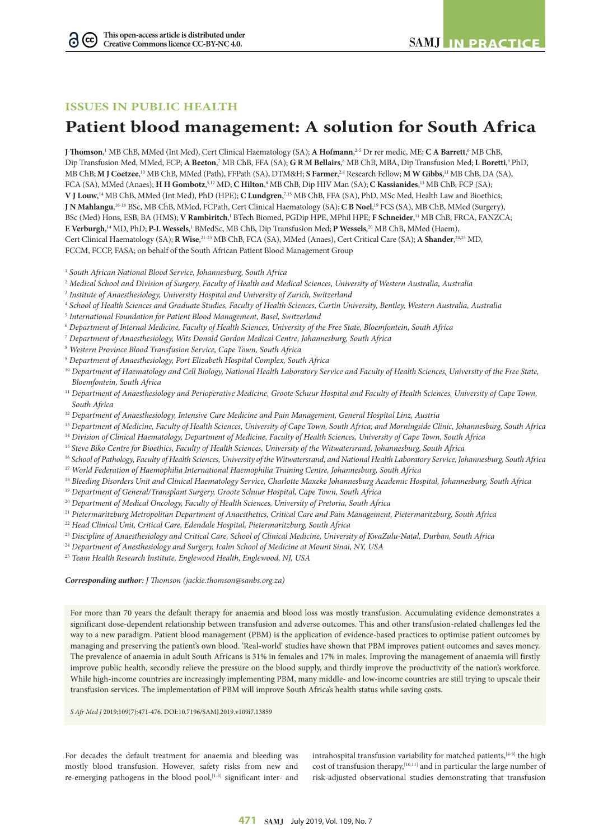## **ISSUES IN PUBLIC HEALTH**

 $(cc)$ 

# **Patient blood management: A solution for South Africa**

**J Thomson**,<sup>1</sup> MB ChB, MMed (Int Med), Cert Clinical Haematology (SA); **A Hofmann**,<sup>2-5</sup> Dr rer medic, ME; **C A Barrett**,<sup>6</sup> MB ChB, Dip Transfusion Med, MMed, FCP; A Beeton,<sup>7</sup> MB ChB, FFA (SA); GRM Bellairs,<sup>8</sup> MB ChB, MBA, Dip Transfusion Med; L Boretti,<sup>9</sup> PhD, MB ChB; **M J Coetzee**, 10 MB ChB, MMed (Path), FFPath (SA), DTM&H; **S Farmer**, 2,4 Research Fellow; **M W Gibbs**, <sup>11</sup> MB ChB, DA (SA), FCA (SA), MMed (Anaes); **H H Gombotz**, 5,12 MD; **C Hilton**, <sup>8</sup> MB ChB, Dip HIV Man (SA); **C Kassianides**, <sup>13</sup> MB ChB, FCP (SA); **V J Louw**, <sup>14</sup> MB ChB, MMed (Int Med), PhD (HPE); **C Lundgren**, 7,15 MB ChB, FFA (SA), PhD, MSc Med, Health Law and Bioethics; **J N Mahlangu,** <sup>16-18</sup> BSc, MB ChB, MMed, FCPath, Cert Clinical Haematology (SA); **C B Noel,** <sup>19</sup> FCS (SA), MB ChB, MMed (Surgery), BSc (Med) Hons, ESB, BA (HMS); **V Rambiritch**, <sup>1</sup> BTech Biomed, PGDip HPE, MPhil HPE; **F Schneider**, <sup>11</sup> MB ChB, FRCA, FANZCA; **E Verburgh**,<sup>14</sup> MD, PhD; **P-L Wessels**,<sup>1</sup> BMedSc, MB ChB, Dip Transfusion Med; **P Wessels**,<sup>20</sup> MB ChB, MMed (Haem), Cert Clinical Haematology (SA); **R Wise**,<sup>21-23</sup> MB ChB, FCA (SA), MMed (Anaes), Cert Critical Care (SA); **A Shander**,<sup>24,25</sup> MD, FCCM, FCCP, FASA; on behalf of the South African Patient Blood Management Group

1  *South African National Blood Service, Johannesburg, South Africa*

- 2  *Medical School and Division of Surgery, Faculty of Health and Medical Sciences, University of Western Australia, Australia*
- 3  *Institute of Anaesthesiology, University Hospital and University of Zurich, Switzerland*
- <sup>4</sup> *School of Health Sciences and Graduate Studies, Faculty of Health Sciences, Curtin University, Bentley, Western Australia, Australia*
- 5  *International Foundation for Patient Blood Management, Basel, Switzerland*
- 6  *Department of Internal Medicine, Faculty of Health Sciences, University of the Free State, Bloemfontein, South Africa*
- 7  *Department of Anaesthesiology, Wits Donald Gordon Medical Centre, Johannesburg, South Africa*
- 8  *Western Province Blood Transfusion Service, Cape Town, South Africa*
- 9  *Department of Anaesthesiology, Port Elizabeth Hospital Complex, South Africa*
- <sup>10</sup> *Department of Haematology and Cell Biology, National Health Laboratory Service and Faculty of Health Sciences, University of the Free State, Bloemfontein, South Africa*
- <sup>11</sup> *Department of Anaesthesiology and Perioperative Medicine, Groote Schuur Hospital and Faculty of Health Sciences, University of Cape Town, South Africa*
- <sup>12</sup> *Department of Anaesthesiology, Intensive Care Medicine and Pain Management, General Hospital Linz, Austria*
- <sup>13</sup> *Department of Medicine, Faculty of Health Sciences, University of Cape Town, South Africa; and Morningside Clinic, Johannesburg, South Africa*
- <sup>14</sup> *Division of Clinical Haematology, Department of Medicine, Faculty of Health Sciences, University of Cape Town, South Africa*
- <sup>15</sup> *Steve Biko Centre for Bioethics, Faculty of Health Sciences, University of the Witwatersrand, Johannesburg, South Africa*
- <sup>16</sup> *School of Pathology, Faculty of Health Sciences, University of the Witwatersrand, and National Health Laboratory Service, Johannesburg, South Africa*
- <sup>17</sup> *World Federation of Haemophilia International Haemophilia Training Centre, Johannesburg, South Africa*
- <sup>18</sup> *Bleeding Disorders Unit and Clinical Haematology Service, Charlotte Maxeke Johannesburg Academic Hospital, Johannesburg, South Africa*
- <sup>19</sup> *Department of General/Transplant Surgery, Groote Schuur Hospital, Cape Town, South Africa*
- <sup>20</sup> *Department of Medical Oncology, Faculty of Health Sciences, University of Pretoria, South Africa*
- <sup>21</sup> *Pietermaritzburg Metropolitan Department of Anaesthetics, Critical Care and Pain Management, Pietermaritzburg, South Africa*
- <sup>22</sup> *Head Clinical Unit, Critical Care, Edendale Hospital, Pietermaritzburg, South Africa*
- <sup>23</sup> *Discipline of Anaesthesiology and Critical Care, School of Clinical Medicine, University of KwaZulu-Natal, Durban, South Africa*
- <sup>24</sup> *Department of Anesthesiology and Surgery, Icahn School of Medicine at Mount Sinai, NY, USA*
- <sup>25</sup> *Team Health Research Institute, Englewood Health, Englewood, NJ, USA*

*Corresponding author: J Thomson (jackie.thomson@sanbs.org.za)*

For more than 70 years the default therapy for anaemia and blood loss was mostly transfusion. Accumulating evidence demonstrates a significant dose-dependent relationship between transfusion and adverse outcomes. This and other transfusion-related challenges led the way to a new paradigm. Patient blood management (PBM) is the application of evidence-based practices to optimise patient outcomes by managing and preserving the patient's own blood. 'Real-world' studies have shown that PBM improves patient outcomes and saves money. The prevalence of anaemia in adult South Africans is 31% in females and 17% in males. Improving the management of anaemia will firstly improve public health, secondly relieve the pressure on the blood supply, and thirdly improve the productivity of the nation's workforce. While high-income countries are increasingly implementing PBM, many middle- and low-income countries are still trying to upscale their transfusion services. The implementation of PBM will improve South Africa's health status while saving costs.

*S Afr Med J* 2019;109(7):471-476. DOI:10.7196/SAMJ.2019.v109i7.13859

For decades the default treatment for anaemia and bleeding was mostly blood transfusion. However, safety risks from new and re-emerging pathogens in the blood pool,<sup>[1-3]</sup> significant inter- and intrahospital transfusion variability for matched patients,<sup>[4-9]</sup> the high cost of transfusion therapy,[10,11] and in particular the large number of risk-adjusted observational studies demonstrating that transfusion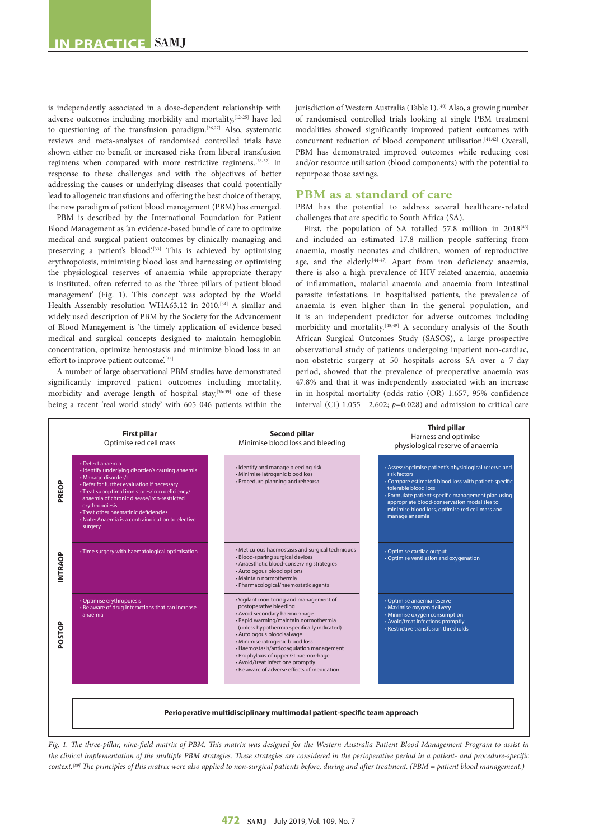is independently associated in a dose-dependent relationship with adverse outcomes including morbidity and mortality,<sup>[12-25]</sup> have led to questioning of the transfusion paradigm. $[26,27]$  Also, systematic reviews and meta-analyses of randomised controlled trials have shown either no benefit or increased risks from liberal transfusion regimens when compared with more restrictive regimens.[28-32] In response to these challenges and with the objectives of better addressing the causes or underlying diseases that could potentially lead to allogeneic transfusions and offering the best choice of therapy, the new paradigm of patient blood management (PBM) has emerged.

PBM is described by the International Foundation for Patient Blood Management as 'an evidence-based bundle of care to optimize medical and surgical patient outcomes by clinically managing and preserving a patient's blood'.<sup>[33]</sup> This is achieved by optimising erythropoiesis, minimising blood loss and harnessing or optimising the physiological reserves of anaemia while appropriate therapy is instituted, often referred to as the 'three pillars of patient blood management' (Fig. 1). This concept was adopted by the World Health Assembly resolution WHA63.12 in 2010.<sup>[34]</sup> A similar and widely used description of PBM by the Society for the Advancement of Blood Management is 'the timely application of evidence-based medical and surgical concepts designed to maintain hemoglobin concentration, optimize hemostasis and minimize blood loss in an effort to improve patient outcome.[35]

A number of large observational PBM studies have demonstrated significantly improved patient outcomes including mortality, morbidity and average length of hospital stay,<sup>[36-39]</sup> one of these being a recent 'real-world study' with 605 046 patients within the

jurisdiction of Western Australia (Table 1).<sup>[40]</sup> Also, a growing number of randomised controlled trials looking at single PBM treatment modalities showed significantly improved patient outcomes with concurrent reduction of blood component utilisation.[41,42] Overall, PBM has demonstrated improved outcomes while reducing cost and/or resource utilisation (blood components) with the potential to repurpose those savings.

#### **PBM as a standard of care**

PBM has the potential to address several healthcare-related challenges that are specific to South Africa (SA).

First, the population of SA totalled 57.8 million in  $2018^{[43]}$ and included an estimated 17.8 million people suffering from anaemia, mostly neonates and children, women of reproductive age, and the elderly.<sup>[44-47]</sup> Apart from iron deficiency anaemia, there is also a high prevalence of HIV-related anaemia, anaemia of inflammation, malarial anaemia and anaemia from intestinal parasite infestations. In hospitalised patients, the prevalence of anaemia is even higher than in the general population, and it is an independent predictor for adverse outcomes including morbidity and mortality.[48,49] A secondary analysis of the South African Surgical Outcomes Study (SASOS), a large prospective observational study of patients undergoing inpatient non-cardiac, non-obstetric surgery at 50 hospitals across SA over a 7-day period, showed that the prevalence of preoperative anaemia was 47.8% and that it was independently associated with an increase in in-hospital mortality (odds ratio (OR) 1.657, 95% confidence interval (CI) 1.055 - 2.602; *p*=0.028) and admission to critical care



*Fig. 1. The three-pillar, nine-field matrix of PBM. This matrix was designed for the Western Australia Patient Blood Management Program to assist in the clinical implementation of the multiple PBM strategies. These strategies are considered in the perioperative period in a patient- and procedure-specific context.[89] The principles of this matrix were also applied to non-surgical patients before, during and after treatment. (PBM = patient blood management.)*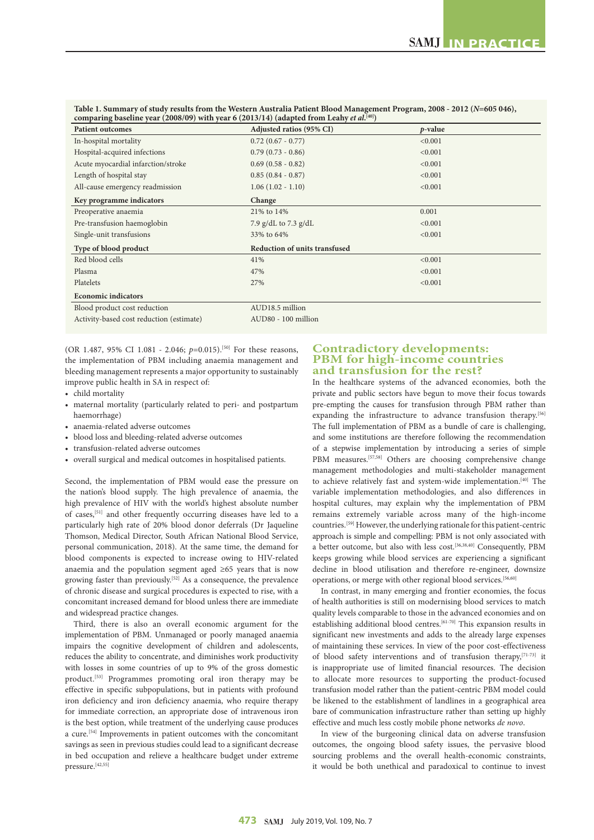| comparing baseline year (2008/09) with year 6 (2013/14) (adapted from Leahy et al. $\binom{40}{1}$ ) |         |
|------------------------------------------------------------------------------------------------------|---------|
| Adjusted ratios (95% CI)                                                                             | p-value |
| $0.72$ $(0.67 - 0.77)$                                                                               | < 0.001 |
| $0.79(0.73 - 0.86)$                                                                                  | < 0.001 |
| $0.69(0.58 - 0.82)$                                                                                  | < 0.001 |
| $0.85(0.84 - 0.87)$                                                                                  | < 0.001 |
| $1.06(1.02 - 1.10)$                                                                                  | < 0.001 |
| Change                                                                                               |         |
| 21% to 14%                                                                                           | 0.001   |
| 7.9 g/dL to 7.3 g/dL                                                                                 | < 0.001 |
| 33% to 64%                                                                                           | < 0.001 |
| <b>Reduction of units transfused</b>                                                                 |         |
| 41%                                                                                                  | < 0.001 |
| 47%                                                                                                  | < 0.001 |
| 27%                                                                                                  | < 0.001 |
|                                                                                                      |         |
| AUD18.5 million                                                                                      |         |
| AUD80 - 100 million                                                                                  |         |
|                                                                                                      |         |

**Table 1. Summary of study results from the Western Australia Patient Blood Management Program, 2008 - 2012 (***N***=605 046), comparing baseline year (2008/09) with year 6 (2013/14) (adapted from Leahy** *et al***. [40])**

(OR 1.487, 95% CI 1.081 - 2.046;  $p=0.015$ ).<sup>[50]</sup> For these reasons, the implementation of PBM including anaemia management and bleeding management represents a major opportunity to sustainably improve public health in SA in respect of:

- child mortality
- maternal mortality (particularly related to peri- and postpartum haemorrhage)
- anaemia-related adverse outcomes
- blood loss and bleeding-related adverse outcomes
- transfusion-related adverse outcomes
- overall surgical and medical outcomes in hospitalised patients.

Second, the implementation of PBM would ease the pressure on the nation's blood supply. The high prevalence of anaemia, the high prevalence of HIV with the world's highest absolute number of cases,[51] and other frequently occurring diseases have led to a particularly high rate of 20% blood donor deferrals (Dr Jaqueline Thomson, Medical Director, South African National Blood Service, personal communication, 2018). At the same time, the demand for blood components is expected to increase owing to HIV-related anaemia and the population segment aged ≥65 years that is now growing faster than previously.[52] As a consequence, the prevalence of chronic disease and surgical procedures is expected to rise, with a concomitant increased demand for blood unless there are immediate and widespread practice changes.

Third, there is also an overall economic argument for the implementation of PBM. Unmanaged or poorly managed anaemia impairs the cognitive development of children and adolescents, reduces the ability to concentrate, and diminishes work productivity with losses in some countries of up to 9% of the gross domestic product.<sup>[53]</sup> Programmes promoting oral iron therapy may be effective in specific subpopulations, but in patients with profound iron deficiency and iron deficiency anaemia, who require therapy for immediate correction, an appropriate dose of intravenous iron is the best option, while treatment of the underlying cause produces a cure.[54] Improvements in patient outcomes with the concomitant savings as seen in previous studies could lead to a significant decrease in bed occupation and relieve a healthcare budget under extreme pressure.<sup>[42,55]</sup>

## **Contradictory developments: PBM for high-income countries and transfusion for the rest?**

In the healthcare systems of the advanced economies, both the private and public sectors have begun to move their focus towards pre-empting the causes for transfusion through PBM rather than expanding the infrastructure to advance transfusion therapy.<sup>[56]</sup> The full implementation of PBM as a bundle of care is challenging, and some institutions are therefore following the recommendation of a stepwise implementation by introducing a series of simple PBM measures.<sup>[57,58]</sup> Others are choosing comprehensive change management methodologies and multi-stakeholder management to achieve relatively fast and system-wide implementation.[40] The variable implementation methodologies, and also differences in hospital cultures, may explain why the implementation of PBM remains extremely variable across many of the high-income countries.[59] However, the underlying rationale for this patient-centric approach is simple and compelling: PBM is not only associated with a better outcome, but also with less cost.[36,38,40] Consequently, PBM keeps growing while blood services are experiencing a significant decline in blood utilisation and therefore re-engineer, downsize operations, or merge with other regional blood services.[56,60]

In contrast, in many emerging and frontier economies, the focus of health authorities is still on modernising blood services to match quality levels comparable to those in the advanced economies and on establishing additional blood centres.<sup>[61-70]</sup> This expansion results in significant new investments and adds to the already large expenses of maintaining these services. In view of the poor cost-effectiveness of blood safety interventions and of transfusion therapy, [71-73] it is inappropriate use of limited financial resources. The decision to allocate more resources to supporting the product-focused transfusion model rather than the patient-centric PBM model could be likened to the establishment of landlines in a geographical area bare of communication infrastructure rather than setting up highly effective and much less costly mobile phone networks *de novo*.

In view of the burgeoning clinical data on adverse transfusion outcomes, the ongoing blood safety issues, the pervasive blood sourcing problems and the overall health-economic constraints, it would be both unethical and paradoxical to continue to invest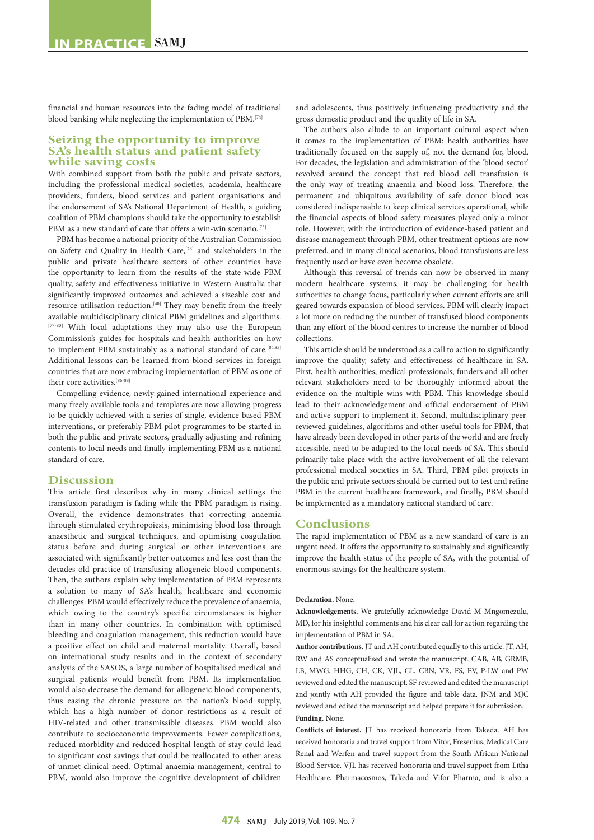financial and human resources into the fading model of traditional blood banking while neglecting the implementation of PBM.[74]

## **Seizing the opportunity to improve SA's health status and patient safety while saving costs**

With combined support from both the public and private sectors, including the professional medical societies, academia, healthcare providers, funders, blood services and patient organisations and the endorsement of SA's National Department of Health, a guiding coalition of PBM champions should take the opportunity to establish PBM as a new standard of care that offers a win-win scenario.<sup>[75]</sup>

PBM has become a national priority of the Australian Commission on Safety and Quality in Health Care,<sup>[76]</sup> and stakeholders in the public and private healthcare sectors of other countries have the opportunity to learn from the results of the state-wide PBM quality, safety and effectiveness initiative in Western Australia that significantly improved outcomes and achieved a sizeable cost and resource utilisation reduction.[40] They may benefit from the freely available multidisciplinary clinical PBM guidelines and algorithms. [77-83] With local adaptations they may also use the European Commission's guides for hospitals and health authorities on how to implement PBM sustainably as a national standard of care.<sup>[84,85]</sup> Additional lessons can be learned from blood services in foreign countries that are now embracing implementation of PBM as one of their core activities.[86-88]

Compelling evidence, newly gained international experience and many freely available tools and templates are now allowing progress to be quickly achieved with a series of single, evidence-based PBM interventions, or preferably PBM pilot programmes to be started in both the public and private sectors, gradually adjusting and refining contents to local needs and finally implementing PBM as a national standard of care.

### **Discussion**

This article first describes why in many clinical settings the transfusion paradigm is fading while the PBM paradigm is rising. Overall, the evidence demonstrates that correcting anaemia through stimulated erythropoiesis, minimising blood loss through anaesthetic and surgical techniques, and optimising coagulation status before and during surgical or other interventions are associated with significantly better outcomes and less cost than the decades-old practice of transfusing allogeneic blood components. Then, the authors explain why implementation of PBM represents a solution to many of SA's health, healthcare and economic challenges. PBM would effectively reduce the prevalence of anaemia, which owing to the country's specific circumstances is higher than in many other countries. In combination with optimised bleeding and coagulation management, this reduction would have a positive effect on child and maternal mortality. Overall, based on international study results and in the context of secondary analysis of the SASOS, a large number of hospitalised medical and surgical patients would benefit from PBM. Its implementation would also decrease the demand for allogeneic blood components, thus easing the chronic pressure on the nation's blood supply, which has a high number of donor restrictions as a result of HIV-related and other transmissible diseases. PBM would also contribute to socioeconomic improvements. Fewer complications, reduced morbidity and reduced hospital length of stay could lead to significant cost savings that could be reallocated to other areas of unmet clinical need. Optimal anaemia management, central to PBM, would also improve the cognitive development of children

and adolescents, thus positively influencing productivity and the gross domestic product and the quality of life in SA.

The authors also allude to an important cultural aspect when it comes to the implementation of PBM: health authorities have traditionally focused on the supply of, not the demand for, blood. For decades, the legislation and administration of the 'blood sector' revolved around the concept that red blood cell transfusion is the only way of treating anaemia and blood loss. Therefore, the permanent and ubiquitous availability of safe donor blood was considered indispensable to keep clinical services operational, while the financial aspects of blood safety measures played only a minor role. However, with the introduction of evidence-based patient and disease management through PBM, other treatment options are now preferred, and in many clinical scenarios, blood transfusions are less frequently used or have even become obsolete.

Although this reversal of trends can now be observed in many modern healthcare systems, it may be challenging for health authorities to change focus, particularly when current efforts are still geared towards expansion of blood services. PBM will clearly impact a lot more on reducing the number of transfused blood components than any effort of the blood centres to increase the number of blood collections.

This article should be understood as a call to action to significantly improve the quality, safety and effectiveness of healthcare in SA. First, health authorities, medical professionals, funders and all other relevant stakeholders need to be thoroughly informed about the evidence on the multiple wins with PBM. This knowledge should lead to their acknowledgement and official endorsement of PBM and active support to implement it. Second, multidisciplinary peerreviewed guidelines, algorithms and other useful tools for PBM, that have already been developed in other parts of the world and are freely accessible, need to be adapted to the local needs of SA. This should primarily take place with the active involvement of all the relevant professional medical societies in SA. Third, PBM pilot projects in the public and private sectors should be carried out to test and refine PBM in the current healthcare framework, and finally, PBM should be implemented as a mandatory national standard of care.

#### **Conclusions**

The rapid implementation of PBM as a new standard of care is an urgent need. It offers the opportunity to sustainably and significantly improve the health status of the people of SA, with the potential of enormous savings for the healthcare system.

#### **Declaration.** None.

**Acknowledgements.** We gratefully acknowledge David M Mngomezulu, MD, for his insightful comments and his clear call for action regarding the implementation of PBM in SA.

**Author contributions.** JT and AH contributed equally to this article. JT, AH, RW and AS conceptualised and wrote the manuscript. CAB, AB, GRMB, LB, MWG, HHG, CH, CK, VJL, CL, CBN, VR, FS, EV, P-LW and PW reviewed and edited the manuscript. SF reviewed and edited the manuscript and jointly with AH provided the figure and table data. JNM and MJC reviewed and edited the manuscript and helped prepare it for submission. **Funding.** None.

**Conflicts of interest.** JT has received honoraria from Takeda. AH has received honoraria and travel support from Vifor, Fresenius, Medical Care Renal and Werfen and travel support from the South African National Blood Service. VJL has received honoraria and travel support from Litha Healthcare, Pharmacosmos, Takeda and Vifor Pharma, and is also a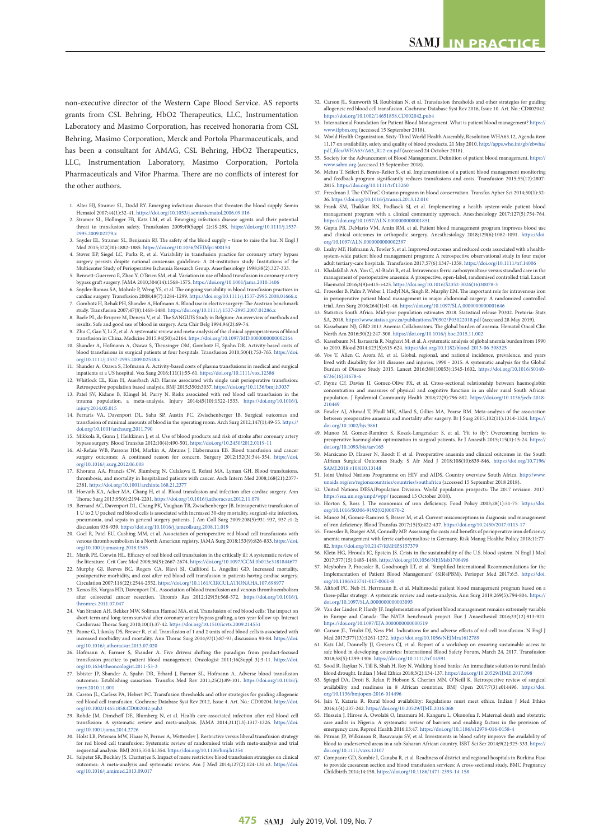non-executive director of the Western Cape Blood Service. AS reports grants from CSL Behring, HbO2 Therapeutics, LLC, Instrumentation Laboratory and Masimo Corporation, has received honoraria from CSL Behring, Masimo Corporation, Merck and Portola Pharmaceuticals, and has been a consultant for AMAG, CSL Behring, HbO2 Therapeutics, LLC, Instrumentation Laboratory, Masimo Corporation, Portola Pharmaceuticals and Vifor Pharma. There are no conflicts of interest for the other authors.

- 1. Alter HJ, Stramer SL, Dodd RY. Emerging infectious diseases that threaten the blood supply. Semin<br/> Hematol 2007;44(1):32-41. https://doi.org/10.1053/j.<br/>seminhematol.2006.09.016 Hematol 2007;44(1):32-41. https://doi.org/10.1053/j.seminh
- 2. Stramer SL, Hollinger FB, Katz LM, et al. Emerging infectious disease agents and their potential threat to transfusion safety. Transfusion 2009;49(Suppl 2):1S-29S. [https://doi.org/10.1111/j.1537-](https://doi.org/10.1111/j.1537-2995.2009.02279.x) [2995.2009.02279.x](https://doi.org/10.1111/j.1537-2995.2009.02279.x)
- 3. Snyder EL, Stramer SL, Benjamin RJ. The safety of the blood supply time to raise the bar. N Engl J Med 2015;372(20):1882-1885.<https://doi.org/10.1056/NEJMp1500154> 4. Stover EP, Siegel LC, Parks R, et al. Variability in transfusion practice for coronary artery bypass
- surgery persists despite national consensus guidelines: A 24-institution study. Institutions of the Multicenter Study of Perioperative Ischemia Research Group. Anesthesiology 1998;88(2):327-333.
- 5. Bennett-Guerrero E, Zhao Y, O'Brien SM, et al. Variation in use of blood transfusion in coronary artery bypass graft surgery. JAMA 2010;304(14):1568-1575.<https://doi.org/10.1001/jama.2010.1406>
- 6. Snyder-Ramos SA, Mohnle P, Weng YS, et al. The ongoing variability in blood transfusion practices in cardiac surgery. Transfusion 2008;48(7):1284-1299. <https://doi.org/10.1111/j.1537-2995.2008.01666.x> 7. Gombotz H, Rehak PH, Shander A, Hofmann A. Blood use in elective surgery: The Austrian benchmark
- study. Transfusion 2007;47(8):1468-1480.<https://doi.org/10.1111/j.1537-2995.2007.01286.x> 8. Baele PL, de Bruyere M, Deneys V, et al. The SANGUIS Study in Belgium: An overview of methods and
- results. Safe and good use of blood in surgery. Acta Chir Belg 1994;94(2):69-74.
- 9. Zhu C, Gao Y, Li Z, et al. A systematic review and meta-analysis of the clinical appropriateness of blood<br>transfusion in China. Medicine 2015;94(50):e2164. https://doi.org/10.1097/MD.0000000000164<br>10. Shander A, Hofmann blood transfusions in surgical patients at four hospitals. Transfusion 2010;50(4):753-765. [https://doi.](https://doi.org/10.1111/j.1537-2995.2009.02518.x)
- [org/10.1111/j.1537-2995.2009.02518.x](https://doi.org/10.1111/j.1537-2995.2009.02518.x) 11. Shander A, Ozawa S, Hofmann A. Activity-based costs of plasma transfusions in medical and surgical inpatients at a US hospital. Vox Sang 2016;111(1):55-61.<https://doi.org/10.1111/vox.12386>
- 12. Whitlock EL, Kim H, Auerbach AD. Harms associated with single unit perioperative transfusion: Retrospective population based analysis. BMJ 2015;350:h3037. <https://doi.org/10.1136/bmj.h3037>
- 13. Patel SV, Kidane B, Klingel M, Parry N. Risks associated with red blood cell transfusion in th trauma population, a meta-analysis. Injury 2014;45(10):1522-1533. [https://doi.org/10.1016/j.](https://doi.org/10.1016/j.injury.2014.05.015) [injury.2014.05.015](https://doi.org/10.1016/j.injury.2014.05.015)
- 14. Ferraris VA, Davenport DL, Saha SP, Austin PC, Zwischenberger JB. Surgical outcomes and transfusion of minimal amounts of blood in the operating room. Arch Surg 2012;147(1):49-55. [https://](https://doi.org/10.1001/archsurg.2011.790) [doi.org/10.1001/archsurg.2011.790](https://doi.org/10.1001/archsurg.2011.790)
- 15. Mikkola R, Gunn J, Heikkinen J, et al. Use of blood products and risk of stroke after c bypass surgery. Blood Transfus 2012;10(4):490-501. <https://doi.org/10.2450/2012.0119-11>
- 16. Al-Refaie WB, Parsons HM, Markin A, Abrams J, Habermann EB. Blood transfusion and cancer surgery outcomes: A continued reason for concern. Surgery 2012;152(3):344-354. [https://doi.](https://doi.org/10.1016/j.surg.2012.06.008) [org/10.1016/j.surg.2012.06.008](https://doi.org/10.1016/j.surg.2012.06.008)
- 17. Khorana AA, Francis CW, Blumberg N, Culakova E, Refaai MA, Lyman GH. Blood transfusions, thrombosis, and mortality in hospitalized patients with cancer. Arch Intern Med 2008;168(21):2377- 2381. <https://doi.org/10.1001/archinte.168.21.2377>
- 18. Horvath KA, Acker MA, Chang H, et al. Blood transfusion and infection after cardiac surgery. Ann Thorac Surg 2013;95(6):2194-2201. <https://doi.org/10.1016/j.athoracsur.2012.11.078>
- 19. Bernard AC, Davenport DL, Chang PK, Vaughan TB, Zwischenberger JB. Intraoperative transfusion of 1 U to 2 U packed red blood cells is associated with increased 30-day mortality, surgical-site infection, pneumonia, and sepsis in general surgery patients. J Am Coll Surg 2009;208(5):931-937, 937.e1-2; discussion 938-939.<https://doi.org/10.1016/j.jamcollsurg.2008.11.019>
- 20. Goel R, Patel EU, Cushing MM, et al. Association of perioperative red blood cell transfusions with venous thromboembolism in a North American registry. JAMA Surg 2018;153(9):826-833. [https://doi.](https://doi.org/10.1001/jamasurg.2018.1565) rg/10.1001/jamasurg.2018.1565
- 21. Marik PE, Corwin HL. Efficacy of red blood cell transfusion in the critically ill: A systematic review of the literature. Crit Care Med 2008;36(9):2667-2674. <https://doi.org/10.1097/CCM.0b013e3181844677> 22. Murphy GJ, Reeves BC, Rogers CA, Rizvi SI, Culliford L, Angelini GD. Increased mortality,
- erative morbidity, and cost after red blood cell transfusion in patients having cardiac surgery. Circulation 2007;116(22):2544-2552.<https://doi.org/10.1161/CIRCULATIONAHA.107.698977>
- 23. Xenos ES, Vargas HD, Davenport DL. Association of blood transfusion and venous thromboembolism after colorectal cancer resection. Thromb Res 2012;129(5):568-572. [https://doi.org/10.1016/j.](https://doi.org/10.1016/j.thromres.2011.07.047) [thromres.2011.07.047](https://doi.org/10.1016/j.thromres.2011.07.047)
- 24. Van Straten AH, Bekker MW, Soliman Hamad MA, et al. Transfusion of red blood cells: The impact on short-term and long-term survival after coronary artery bypass grafting, a ten-year follow-up. Interact Cardiovasc Thorac Surg 2010;10(1):37-42. <https://doi.org/10.1510/icvts.2009.214551>
- 25. Paone G, Likosky DS, Brewer R, et al. Transfusion of 1 and 2 units of red blood cells is associated with increased morbidity and mortality. Ann Thorac Surg 2014;97(1):87-93; discussion 93-84. [https://doi.](https://doi.org/10.1016/j.athoracsur.2013.07.020)
- [org/10.1016/j.athoracsur.2013.07.020](https://doi.org/10.1016/j.athoracsur.2013.07.020) 26. Hofmann A, Farmer S, Shander A. Five drivers shifting the paradigm from product-focused transfusion practice to patient blood management. Oncologist 2011;16(Suppl 3):3-11. [https://doi.](https://doi.org/10.1634/theoncologist.2011-S3-3) [org/10.1634/theoncologist.2011-S3-3](https://doi.org/10.1634/theoncologist.2011-S3-3)
- 27. Isbister JP, Shander A, Spahn DR, Erhard J, Farmer SL, Hofmann A. Adverse blood transfusion outcomes: Establishing causation. Transfus Med Rev 2011;25(2):89-101. [https://doi.org/10.1016/j.](https://doi.org/10.1016/j.tmrv.2010.11.001) [tmrv.2010.11.001](https://doi.org/10.1016/j.tmrv.2010.11.001)
- 28. Carson JL, Carless PA, Hebert PC. Transfusion thresholds and other strategies for guid red blood cell transfusion. Cochrane Database Syst Rev 2012, Issue 4. Art. No.: CD00204. [https://doi.](https://doi.org/10.1002/14651858.CD002042.pub3) [org/10.1002/14651858.CD002042.pub3](https://doi.org/10.1002/14651858.CD002042.pub3)
- 29. Rohde JM, Dimcheff DE, Blumberg N, et al. Health care-associated infection after red blood cell transfusion: A systematic review and meta-analysis. JAMA 2014;311(13):1317-1326. [https://doi.](https://doi.org/10.1001/jama.2014.2726) [org/10.1001/jama.2014.2726](https://doi.org/10.1001/jama.2014.2726)
- 30. Holst LB, Petersen MW, Haase N, Perner A, Wetterslev J. Restrictive versus liberal transfu for red blood cell transfusion: Systematic review of randomised trials with meta-analysis and trial sequential analysis. BMJ 2015;350:h1354.<https://doi.org/10.1136/bmj.h1354>
- 31. Salpeter SR, Buckley JS, Chatterjee S. Impact of more restrictive blood transfusion strategies on clinical outcomes: A meta-analysis and systematic review. Am J Med 2014;127(2):124-131.e3. [https://doi.](https://doi.org/10.1016/j.amjmed.2013.09.017) [org/10.1016/j.amjmed.2013.09.017](https://doi.org/10.1016/j.amjmed.2013.09.017)
- 32. Carson JL, Stanworth SJ, Roubinian N, et al. Transfusion thresholds and other strategies for guiding allogeneic red blood cell transfusion. Cochrane Database Syst Rev 2016, Issue 10. Art. No.: CD002042. <https://doi.org/10.1002/14651858.CD002042.pub4>
- 33. International Foundation for Patient Blood Management. What is patient blood n [www.ifpbm.org](https://www.ifpbm.org) (accessed 15 September 2018).
- 34. World Health Organization. Sixty-Third World Health Assembly, Resolution WHA63.12, Agenda item 11.17 on availability, safety and quality of blood products. 21 May 2010. [http://apps.who.int/gb/ebwha/](http://apps.who.int/gb/ebwha/pdf_files/WHA63/A63_R12-en.pdf) pdf (accessed 24 October 2018).
- 35. Society for the Advancement of Blood Management. Definition of patient blood management. [https://](https://www.sabm.org) abm.org (accessed 15 September 2018).
- 36. Mehra T, Seifert B, Bravo-Reiter S, et al. Implementation of a patient blood management monitoring and feedback program significantly reduces transfusions and costs. Transfusion 2015;55(12):2807-<br>and feedback program significantly reduces transfusions and costs. Transfusion 2015;55(12):2807-2815. <https://doi.org/10.1111/trf.13260>
- 37. Freedman J. The ONTraC Ontario program in blood conservation. Transfus Apher Sci 2014;50(1):32- 36.<https://doi.org/10.1016/j.transci.2013.12.010>
- 38. Frank SM, Thakkar RN, Podlasek SJ, et al. Implementing a health system-wide patient blood management program with a clinical community approach. Anesthesiology 2017;127(5):754-764. <https://doi.org/10.1097/ALN.0000000000001851>
- 39. Gupta PB, DeMario VM, Amin RM, et al. Patient blood management program improves blood use and clinical outcomes in orthopedic surgery. Anesthesiology 2018;129(6):1082-1091. [https://doi.](https://doi.org/10.1097/ALN.0000000000002397) [org/10.1097/ALN.0000000000002397](https://doi.org/10.1097/ALN.0000000000002397)
- 40. Leahy MF, Hofmann A, Towler S, et al. Improved outcomes and reduced costs associated with a healthsystem-wide patient blood management program: A retrospective observational study in four major adult tertiary-care hospitals. Transfusion 2017;57(6):1347-1358.<https://doi.org/10.1111/trf.14006>
- 41. Khalafallah AA, Yan C, Al-Badri R, et al. Intravenous ferric carboxymaltose versus standard care in the management of postoperative anaemia: A prospective, open-label, randomised controlled trial. Lancet Haematol 2016;3(9):e415-e425. [https://doi.org/10.1016/S2352-3026\(16\)30078-3](https://doi.org/10.1016/S2352-3026(16)30078-3)
- 42. Froessler B, Palm P, Weber I, Hodyl NA, Singh R, Murphy EM. The important role for intravenous iron in perioperative patient blood management in major abdominal surgery: A randomized controlled trial. Ann Surg 2016;264(1):41-46. <https://doi.org/10.1097/SLA.0000000000001646>
- 43. Statistics South Africa. Mid-year population estimates 2018. Statistical release P0302. Pretoria: Stats SA, 2018. <https://www.statssa.gov.za/publications/P0302/P03022018.pdf> (accessed 28 May 2019).
- 44. Kassebaum NJ; GBD 2013 Anemia Collaborators. The global burden of anemia. Hematol Oncol Clin North Am 2016;30(2):247-308. <https://doi.org/10.1016/j.hoc.2015.11.002>
- 45. Kassebaum NJ, Jasrasaria R, Naghavi M, et al. A systematic analysis of global anemia burden from 1990 to 2010. Blood 2014;123(5):615-624. <https://doi.org/10.1182/blood-2013-06-508325>
- 46. Vos T, Allen C, Arora M, et al. Global, regional, and national incidence, prevalence, and years lived with disability for 310 diseases and injuries, 1990 - 2015: A systematic analysis for the Global Burden of Disease Study 2015. Lancet 2016;388(10053):1545-1602. [https://doi.org/10.1016/S0140-](https://doi.org/10.1016/S0140-6736(16)31678-6) [6736\(16\)31678-6](https://doi.org/10.1016/S0140-6736(16)31678-6)
- 47. Payne CF, Davies JI, Gomez-Olive FX, et al. Cross-sectional relationship between haemoglobin concentration and measures of physical and cognitive function in an older rural South African population. J Epidemiol Community Health 2018;72(9):796-802. [https://doi.org/10.1136/jech-2018-](https://doi.org/10.1136/jech-2018-210449) [210449](https://doi.org/10.1136/jech-2018-210449)
- Fowler AJ, Ahmad T, Phull MK, Allard S, Gillies MA, Pearse RM. Meta-analysis between preoperative anaemia and mortality after surgery. Br J Surg 2015;102(11):1314-1324. [https://](https://doi.org/10.1002/bjs.9861) [doi.org/10.1002/bjs.9861](https://doi.org/10.1002/bjs.9861)
- 49. Munoz M, Gomez-Ramirez S, Kozek-Langeneker S, et al. 'Fit to fly': Overcoming barriers to preoperative haemoglobin optimization in surgical patients. Br J Anaesth 2015;115(1):15-24. [https://](https://doi.org/10.1093/bja/aev165) org/10.1093/bja/aev165
- Marsicano D, Hauser N, Roodt F, et al. Preoperative anaemia and clinical outcomes in the South African Surgical Outcomes Study. S Afr Med J 2018;108(10):839-846. [https://doi.org/10.7196/](https://doi.org/10.7196/SAMJ.2018.v108i10.13148) [SAMJ.2018.v108i10.13148](https://doi.org/10.7196/SAMJ.2018.v108i10.13148)
- 51. Joint United Nations Programme on HIV and AIDS. Country overview South Africa. [http://www.](http://www.unaids.org/en/regionscountries/countries/southafrica) [unaids.org/en/regionscountries/countries/southafrica](http://www.unaids.org/en/regionscountries/countries/southafrica) (accessed 15 September 2018 2018).
- 52. United Nations DESA/Population Division. World population prospects: The 2017 revision. 2017. <https://esa.un.org/unpd/wpp/> (accessed 15 October 2018).
- 53. Horton S, Ross J. The economics of iron deficiency. Food Policy 2003;28(1):51-75. https://d [org/10.1016/S0306-9192\(02\)00070-2](https://doi.org/10.1016/S0306-9192(02)00070-2)
- 54. Munoz M, Gomez-Ramirez S, Besser M, et al. Current misconceptions in diagnosis and management of iron deficiency. Blood Transfus 2017;15(5):422-437. <https://doi.org/10.2450/2017.0113-17>
- 55. Froessler B, Rueger AM, Connolly MP. Assessing the costs and benefits of perioperative iron deficien anemia management with ferric carboxymaltose in Germany. Risk Manag Healthc Policy 2018;11:77- 82.<https://doi.org/10.2147/RMHP.S157379>
- 56. Klein HG, Hrouda JC, Epstein JS. Crisis in the sustainability of the U.S. blood system. N Engl J Med 2017;377(15):1485-1488.<https://doi.org/10.1056/NEJMsb1706496>
- 57. Meybohm P, Froessler B, Goodnough LT, et al. 'Simplified International Recommendations for the Implementation of Patient Blood Management' (SIR4PBM). Perioper Med 2017;6:5. [https://doi.](https://doi.org/10.1186/s13741-017-0061-8)  $\frac{1}{10}$  1186/s13741-017-0061-8
- Althoff FC, Neb H, Herrmann E, et al. Multimodal patient blood management program based on a three-pillar strategy: A systematic review and meta-analysis. Ann Surg 2019;269(5):794-804. [https://](https://doi.org/10.1097/SLA.0000000000003095) [doi.org/10.1097/SLA.0000000000003095](https://doi.org/10.1097/SLA.0000000000003095)
- 59. Van der Linden P, Hardy JF. Implementation of patient blood management remains extremely variable in Europe and Canada: The NATA benchmark project. Eur J Anaesthesiol 2016;33(12):913-921. <https://doi.org/10.1097/EJA.0000000000000519>
- 60. Carson JL, Triulzi DJ, Ness PM. Indications for and adverse effects of red-cell transfusion. N Engl J Med 2017;377(13):1261-1272.<https://doi.org/10.1056/NEJMra1612789> 61. Katz LM, Donnelly JJ, Gresens CJ, et al. Report of a workshop on ensuring sustainable access to
- safe blood in developing countries: International Blood Safety Forum, March 24, 2017. Transfusion 2018;58(5):1299-1306. <https://doi.org/10.1111/trf.14591>
- 62. Sood R, Raykar N, Till B, Shah H, Roy N. Walking blood banks: An immediate solution to rural India's blood drought. Indian J Med Ethics 2018;3(2):134-137.<https://doi.org/10.20529/IJME.2017.098>
- 63. Spiegel DA, Droti B, Relan P, Hobson S, Cherian MN, O'Neill K. Retrospective review of surgical availability and readiness in 8 African countries. BMJ Open 2017;7(3):e014496. [https://doi.](https://doi.org/10.1136/bmjopen-2016-014496) [org/10.1136/bmjopen-2016-014496](https://doi.org/10.1136/bmjopen-2016-014496)
- 64. Jain Y, Kataria R. Rural blood availability: Regulations must meet ethics. Indian J Med Ethics 2016;1(4):237-242.<https://doi.org/10.20529/IJME.2016.068>
- 65. Hussein J, Hirose A, Owolabi O, Imamura M, Kanguru L, Okonofua F. Maternal death and obstetric care audits in Nigeria: A systematic review of barriers and enabling factors in the provision of
- emergency care. Reprod Health 2016;13:47.<https://doi.org/10.1186/s12978-016-0158-4><br>66. Pitman JP, Wilkinson R, Basavaraju SV, et al. Investments in blood safety improve the availability of blood to underserved areas in a sub-Saharan African country. ISBT Sci Ser 2014;9(2):325-333. http:// [doi.org/10.1111/voxs.12107](https://doi.org/10.1111/voxs.12107)
- 67. Compaore GD, Sombie I, Ganaba R, et al. Readiness of district and regional hospitals in Burkina Faso to provide caesarean section and blood transfusion services: A cross-sectional study. BMC Pregnancy Childbirth 2014;14:158. <https://doi.org/10.1186/1471-2393-14-158>